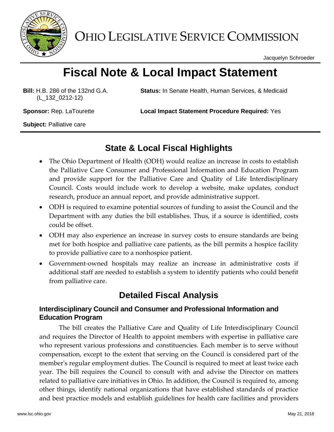

OHIO LEGISLATIVE SERVICE COMMISSION

Jacquelyn Schroeder

# **Fiscal Note & Local Impact Statement**

**Bill:** H.B. 286 of the 132nd G.A. (L\_132\_0212-12)

**Status:** In Senate Health, Human Services, & Medicaid

**Sponsor:** Rep. LaTourette **Local Impact Statement Procedure Required:** Yes

**Subject:** Palliative care

### **State & Local Fiscal Highlights**

- The Ohio Department of Health (ODH) would realize an increase in costs to establish the Palliative Care Consumer and Professional Information and Education Program and provide support for the Palliative Care and Quality of Life Interdisciplinary Council. Costs would include work to develop a website, make updates, conduct research, produce an annual report, and provide administrative support.
- ODH is required to examine potential sources of funding to assist the Council and the Department with any duties the bill establishes. Thus, if a source is identified, costs could be offset.
- ODH may also experience an increase in survey costs to ensure standards are being met for both hospice and palliative care patients, as the bill permits a hospice facility to provide palliative care to a nonhospice patient.
- Government-owned hospitals may realize an increase in administrative costs if additional staff are needed to establish a system to identify patients who could benefit from palliative care.

## **Detailed Fiscal Analysis**

#### **Interdisciplinary Council and Consumer and Professional Information and Education Program**

The bill creates the Palliative Care and Quality of Life Interdisciplinary Council and requires the Director of Health to appoint members with expertise in palliative care who represent various professions and constituencies. Each member is to serve without compensation, except to the extent that serving on the Council is considered part of the member's regular employment duties. The Council is required to meet at least twice each year. The bill requires the Council to consult with and advise the Director on matters related to palliative care initiatives in Ohio. In addition, the Council is required to, among other things, identify national organizations that have established standards of practice and best practice models and establish guidelines for health care facilities and providers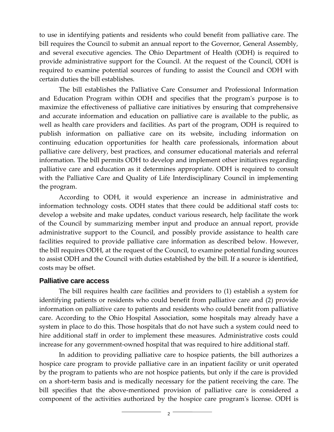to use in identifying patients and residents who could benefit from palliative care. The bill requires the Council to submit an annual report to the Governor, General Assembly, and several executive agencies. The Ohio Department of Health (ODH) is required to provide administrative support for the Council. At the request of the Council, ODH is required to examine potential sources of funding to assist the Council and ODH with certain duties the bill establishes.

The bill establishes the Palliative Care Consumer and Professional Information and Education Program within ODH and specifies that the program's purpose is to maximize the effectiveness of palliative care initiatives by ensuring that comprehensive and accurate information and education on palliative care is available to the public, as well as health care providers and facilities. As part of the program, ODH is required to publish information on palliative care on its website, including information on continuing education opportunities for health care professionals, information about palliative care delivery, best practices, and consumer educational materials and referral information. The bill permits ODH to develop and implement other initiatives regarding palliative care and education as it determines appropriate. ODH is required to consult with the Palliative Care and Quality of Life Interdisciplinary Council in implementing the program.

According to ODH, it would experience an increase in administrative and information technology costs. ODH states that there could be additional staff costs to: develop a website and make updates, conduct various research, help facilitate the work of the Council by summarizing member input and produce an annual report, provide administrative support to the Council, and possibly provide assistance to health care facilities required to provide palliative care information as described below. However, the bill requires ODH, at the request of the Council, to examine potential funding sources to assist ODH and the Council with duties established by the bill. If a source is identified, costs may be offset.

#### **Palliative care access**

The bill requires health care facilities and providers to (1) establish a system for identifying patients or residents who could benefit from palliative care and (2) provide information on palliative care to patients and residents who could benefit from palliative care. According to the Ohio Hospital Association, some hospitals may already have a system in place to do this. Those hospitals that do not have such a system could need to hire additional staff in order to implement these measures. Administrative costs could increase for any government-owned hospital that was required to hire additional staff.

In addition to providing palliative care to hospice patients, the bill authorizes a hospice care program to provide palliative care in an inpatient facility or unit operated by the program to patients who are not hospice patients, but only if the care is provided on a short-term basis and is medically necessary for the patient receiving the care. The bill specifies that the above-mentioned provision of palliative care is considered a component of the activities authorized by the hospice care program's license. ODH is